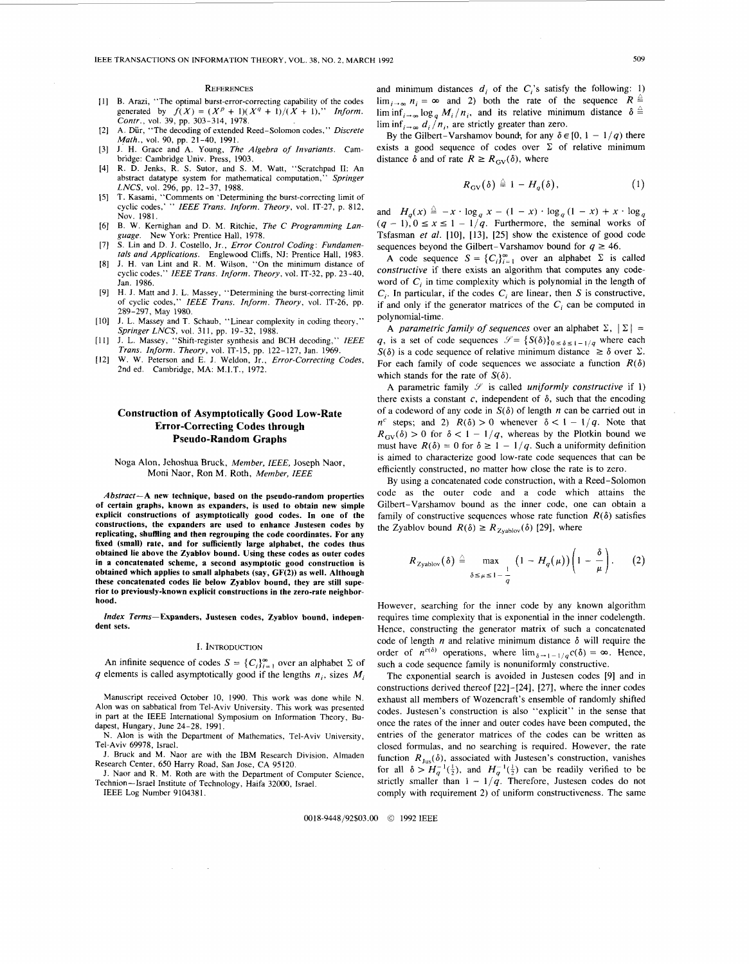#### **REFERENCES**

- [1] B. Arazi, "The optimal burst-error-correcting capability of the codes generated by  $f(X) = (X^p + 1)(X^q + 1)/(X + 1)$ ." Inform. generated by  $f(X) = (X^p + 1)(X^q + 1)/(X + 1)$ ," *Inform. Contr.*, vol. 39, pp. 303-314, 1978.
- A. Dur, "The decoding of extended Reed-Solomon codes," *Discrete*   $121$ *Math.,* vol. 90, pp. 21-40, 1991.
- J. H. Grace and A. Young, *The Algebra of Invariants.* Cam- $[3]$ bridge: Cambridge Univ. Press, 1903.
- R. D. Jenks, R. S. Sutor, and S. M. Watt, "Scratchpad 11: An  $[4]$ abstract datatype system for mathematical computation," *Springer LNCS,* vol. 296, pp. 12-37, 1988.
- $T$ . Kasami, "Comments on 'Determining the burst-correcting limit of cyclic codes,' " *IEEE Trans. Inform. Theory,* vol. IT-27, p. 812, Nov. 1981.
- B. W. Kemighan and D. M. Ritchie, *The C Programming Lan-* $[6]$ *guage.*  New York: Prentice Hall, 1978.
- $[7]$ S. Lin and D. J. Costello, Jr., *Error Control Coding: Fundamentals and Applications.* Englewood Cliffs, NJ: Prentice Hall, 1983.
- J. H. van Lint and R. M. Wilson, "On the minimum distance of [8] cyclic codes," *IEEE Trans. Inform. Theory,* vol. IT-32, pp. 23-40, Jan. 1986.
- H. J. Matt and J. L. Massey, "Determining the burst-correcting limit of cyclic codes," *IEEE Trans. Inform. Theory,* vol. IT-26, pp. 289-297, May 1980.
- J. L. Massey and T. Schaub, "Linear complexity in coding theory," 1101 *Springer LNCS*, vol. 311, pp. 19-32, 1988.
- J. L. Massey, "Shift-register synthesis and BCH decoding," *IEEE*   $[11]$ *Trans. Inform. Theory,* vol. IT-15, pp. 122-127, Jan. 1969.
- $[12]$ W. W. Peterson and E. J. Weldon, Jr., *Error-Correcting Codes,*  2nd ed. Cambridge, MA: M.I.T., 1972.

# **Construction of Asymptotically Good Low-Rate Error-Correcting Codes through Pseudo-Random Graphs**

# Noga Alon. Jehoshua Bruck, *Member, IEEE,* Joseph Naor, Moni Naor, Ron M. Roth, *Member, IEEE*

*Abstract-A* **new technique, based on the pseudo-random properties of certain graphs, known as expanders, is used to obtain new simple explicit constructions of asymptotically good codes. In one of the constructions, the expanders are used to enhance Justesen codes by replicating, shuffling and then regrouping the code coordinates. For any fixed (small) rate, and for sufficiently large alphabet, the codes thus obtained lie above the Zyahlov bound. Using these codes as outer codes in a concatenated scheme, a second asymptotic good construction is obtained which applies to small alphabets (say, GF(2)) as well. Although these concatenated codes lie below Zyablov bound, they are still superior to previously-known explicit constructions in the zero-rate neighborhood.** 

*Index* **Terms-Expanders, Justesen codes, Zyablov bound, independent sets.** 

### **I.** INTRODUCTION

An infinite sequence of codes  $S = \{C_i\}_{i=1}^{\infty}$  over an alphabet  $\Sigma$  of q elements is called asymptotically good if the lengths  $n_i$ , sizes  $M_i$ 

Manuscript received October 10, 1990. This work was done while N. Alon was on sabbatical from Tel-Aviv University. This work was presented in part at the IEEE International Symposium on Information Theory, Budapest, Hungary, June 24-28, 1991.

N. Alon is with the Department of Mathematics, Tel-Aviv University, Tel-Aviv 69978, Israel.

J. Bruck and M. Naor are with the IBM Research Division, Almaden Research Center, 650 Harry Road, San Jose, CA 95120.

J. Naor and R. M. Roth are with the Department of Computer Science, Technion-Israel Institute of Technology, Haifa 32000, Israel.

IEEE Log Number 9104381.

and minimum distances  $d_i$  of the  $C_i$ 's satisfy the following: 1)  $\lim_{i \to \infty} n_i = \infty$  and 2) both the rate of the sequence  $R \triangleq$  $\liminf_{i\to\infty} \log_q M_i / n_i$ , and its relative minimum distance  $\delta \triangleq$  $\liminf_{i\to\infty} d_i/n_i$ , are strictly greater than zero.

By the Gilbert-Varshamov bound; for any  $\delta \in [0, 1 - 1/q)$  there exists a good sequence of codes over  $\Sigma$  of relative minimum distance  $\delta$  and of rate  $R \geq R_{\text{GW}}(\delta)$ , where

$$
R_{\rm GV}(\delta) \triangleq 1 - H_q(\delta), \qquad (1)
$$

and  $H_q(x) \triangleq -x \cdot \log_q x - (1 - x) \cdot \log_q (1 - x) + x \cdot \log_q x$  $(q - 1)$ ,  $0 \le x \le 1 - \frac{1}{q}$ . Furthermore, the seminal works of Tsfasman et al. [10], [13], [25] show the existence of good code sequences beyond the Gilbert-Varshamov bound for  $q \ge 46$ .

A code sequence  $S = \{C_i\}_{i=1}^{\infty}$  over an alphabet  $\Sigma$  is called constructive if there exists an algorithm that computes any codeword of *C,* in time complexity which is polynomial in the length of C,. In particular, if the codes *C,* are linear, then *S* is constructive, if and only if the generator matrices of the  $C_i$  can be computed in polynomial-time.

A *parametric family of sequences* over an alphabet  $\Sigma$ ,  $|\Sigma|$  = q, is a set of code sequences  $\mathcal{S} = \{S(\delta)\}_{0 \leq \delta \leq 1-1/a}$  where each *S(* $\delta$ *)* is a code sequence of relative minimum distance  $\geq \delta$  over  $\Sigma$ . For each family of code sequences we associate a function  $R(\delta)$ which stands for the rate of  $S(\delta)$ .

A parametric family  $\mathcal Y$  is called *uniformly constructive* if 1) there exists a constant  $c$ , independent of  $\delta$ , such that the encoding of a codeword of any code in  $S(\delta)$  of length *n* can be carried out in  $n^c$  steps; and 2)  $R(\delta) > 0$  whenever  $\delta < 1 - 1/q$ . Note that  $R_{\text{GV}}(\delta) > 0$  for  $\delta < 1 - 1/q$ , whereas by the Plotkin bound we must have  $R(\delta) = 0$  for  $\delta \geq 1 - 1/q$ . Such a uniformity definition is aimed to characterize good low-rate code sequences that can be efficiently constructed, no matter how close the rate is to zero.

By using a concatenated code construction, with a Reed-Solomon code as the outer code and a code which attains the Gilbert-Varshamov bound as the inner code, one can obtain a family of constructive sequences whose rate function  $R(\delta)$  satisfies the Zyablov bound  $R(\delta) \ge R_{\text{Zyably}}(\delta)$  [29], where

$$
R_{\text{Zyablov}}(\delta) \stackrel{\triangle}{=} \max_{\delta \leq \mu \leq 1-\frac{1}{\alpha}} \left(1 - H_q(\mu)\right) \left(1 - \frac{\delta}{\mu}\right). \qquad (2)
$$

However, searching for the inner code by any known algorithm requires time complexity that is exponential in the inner codelength. Hence, constructing the generator matrix of such a concatenated code of length  $n$  and relative minimum distance  $\delta$  will require the order of  $n^{c(\delta)}$  operations, where  $\lim_{\delta \to 1-1/q} c(\delta) = \infty$ . Hence, such a code sequence family is nonuniformly constructive.

The exponential search is avoided in Justesen codes [9] and in constructions derived thereof [22]-[24], [27], where the inner codes exhaust all members of Wozencraft's ensemble of randomly shifted codes. Justesen's construction is also "explicit" in the sense that once the rates of the inner and outer codes have been computed, the entries of the generator matrices of the codes can be written as closed formulas, and no searching is required. However, the rate function  $R_{\text{Jus}}(\delta)$ , associated with Justesen's construction, vanishes for all  $\delta > H_q^{-1}(\frac{1}{2})$ , and  $H_q^{-1}(\frac{1}{2})$  can be readily verified to be strictly smaller than  $1 - 1/q$ . Therefore, Justesen codes do not comply with requirement 2) of uniform constructiveness. The same

0018-9448/92\$03.00 *0* 1992 IEEE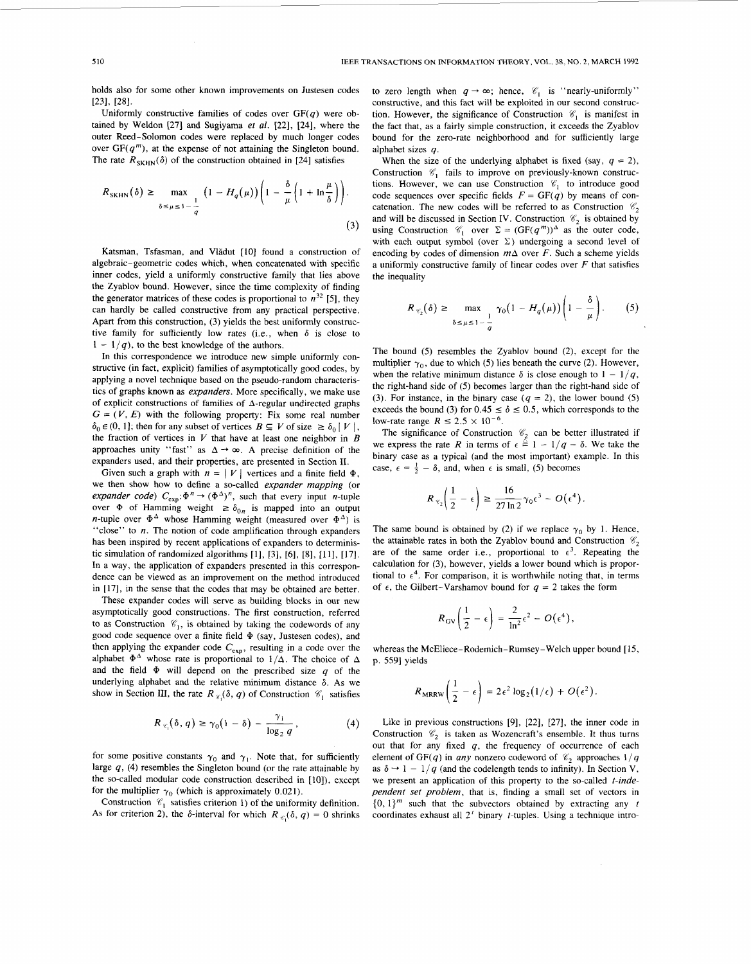holds also for some other known improvements on Justesen codes **[231, [281.** 

Uniformly constructive families of codes over  $GF(a)$  were obtained by Weldon **[27]** and Sugiyama *et al.* **[22], [24],** where the outer Reed-Solomon codes were replaced by much longer codes over  $GF(q^m)$ , at the expense of not attaining the Singleton bound. The rate  $R_{\text{SKHN}}(\delta)$  of the construction obtained in [24] satisfies

$$
R_{\text{SKHN}}(\delta) \ge \max_{\delta \le \mu \le 1 - \frac{1}{q}} \left(1 - H_q(\mu)\right) \left(1 - \frac{\delta}{\mu} \left(1 + \ln \frac{\mu}{\delta}\right)\right). \tag{3}
$$

Katsman, Tsfasman, and Vlădut [10] found a construction of algebraic-geometric codes which, when concatenated with specific inner codes, yield a uniformly constructive family that lies above the Zyablov bound. However, since the time complexity of finding the generator matrices of these codes is proportional to  $n^{32}$  [5], they can hardly be called constructive from any practical perspective. Apart from this construction, (3) yields the best uniformly constructive family for sufficiently low rates (i.e., when  $\delta$  is close to  $1 - 1/q$ , to the best knowledge of the authors.

In this correspondence we introduce new simple uniformly constructive (in fact, explicit) families of asymptotically good codes, by applying a novel technique based on the pseudo-random characteristics of graphs known as *expanders.* More specifically, we make use of explicit constructions of families of  $\Delta$ -regular undirected graphs  $G = (V, E)$  with the following property: Fix some real number  $\delta_0 \in (0, 1]$ ; then for any subset of vertices  $B \subseteq V$  of size  $\geq \delta_0 |V|$ , the fraction of vertices in *V* that have at least one neighbor in *B*  approaches unity "fast" as  $\Delta \rightarrow \infty$ . A precise definition of the expanders used, and their properties, are presented in Section **11.** 

Given such a graph with  $n = |V|$  vertices and a finite field  $\Phi$ , we then show how to define a so-called *expander mapping (or expander code)*  $C_{exp}$ : $\Phi^{n} \rightarrow (\Phi^{\Delta})^{n}$ , such that every input *n*-tuple over  $\Phi$  of Hamming weight  $\geq \delta_{0n}$  is mapped into an output n-tuple over  $\Phi^{\Delta}$  whose Hamming weight (measured over  $\Phi^{\Delta}$ ) is "close" to *n*. The notion of code amplification through expanders has been inspired by recent applications of expanders to deterministic simulation of randomized algorithms [1], [3], [6], [8], [11], [17]. In a way, the application of expanders presented in this correspondence can be viewed as an improvement on the method introduced in **[17],** in the sense that the codes that may be obtained are better.

These expander codes will serve as building blocks in our new asymptotically good constructions. The first construction, referred to as Construction  $\mathcal{C}_1$ , is obtained by taking the codewords of any good code sequence over a finite field **9** (say, Justesen codes), and then applying the expander code **Cexp,** resulting in a code over the alphabet  $\Phi^{\Delta}$  whose rate is proportional to  $1/\Delta$ . The choice of  $\Delta$ and the field  $\Phi$  will depend on the prescribed size  $q$  of the underlying alphabet and the relative minimum distance  $\delta$ . As we show in Section III, the rate  $R_{\mathscr{C}_1}(\delta, q)$  of Construction  $\mathscr{C}_1$  satisfies

$$
R_{\kappa_1}(\delta, q) \ge \gamma_0(1-\delta) - \frac{\gamma_1}{\log_2 q}, \qquad (4)
$$

for some positive constants  $\gamma_0$  and  $\gamma_1$ . Note that, for sufficiently large *q,* (4) resembles the Singleton bound (or the rate attainable by the so-called modular code construction described in **[lo]),** except for the multiplier  $\gamma_0$  (which is approximately 0.021).

Construction  $\mathcal{C}_1$  satisfies criterion 1) of the uniformity definition. As for criterion 2), the  $\delta$ -interval for which  $R_{\epsilon_1}(\delta, q) = 0$  shrinks

to zero length when  $q \rightarrow \infty$ ; hence,  $\mathcal{C}_1$  is "nearly-uniformly" constructive, and this fact will be exploited in our second construction. However, the significance of Construction  $\mathscr{C}_1$  is manifest in the fact that, as a fairly simple construction, it exceeds the Zyablov bound for the zero-rate neighborhood and for sufficiently large alphabet sizes *q.* 

When the size of the underlying alphabet is fixed (say,  $q = 2$ ), Construction  $\mathcal{C}_1$  fails to improve on previously-known constructions. However, we can use Construction *V,* to introduce good code sequences over specific fields  $F = GF(q)$  by means of concatenation. The new codes will be referred to as Construction  $\mathcal{C}_2$ and will be discussed in Section IV. Construction  $\mathscr{C}_2$  is obtained by using Construction  $\mathcal{C}_1$  over  $\Sigma = (GF(q^m))^{\Delta}$  as the outer code, with each output symbol (over  $\Sigma$ ) undergoing a second level of encoding by codes of dimension  $m\Delta$  over *F*. Such a scheme yields a uniformly constructive family of linear codes over *F* that satisfies the inequality

$$
R_{\mathscr{C}_2}(\delta) \ge \max_{\delta \le \mu \le 1-\frac{1}{\sigma}} \gamma_0 \big(1 - H_q(\mu)\big) \bigg(1 - \frac{\delta}{\mu}\bigg). \qquad (5)
$$

The bound (5) resembles the Zyablov bound **(2),** except for the multiplier  $\gamma_0$ , due to which (5) lies beneath the curve (2). However, when the relative minimum distance  $\delta$  is close enough to  $1 - 1/q$ , the right-hand side of (5) becomes larger than the right-hand side of (3). For instance, in the binary case  $(q = 2)$ , the lower bound (5) exceeds the bound (3) for  $0.45 \le \delta \le 0.5$ , which corresponds to the low-rate range  $R \le 2.5 \times 10^{-6}$ .

The significance of Construction  $\mathcal{C}_2$  can be better illustrated if  $\epsilon$  express the rate  $R$  in terms of  $\epsilon \triangleq 1 - 1/q - \delta$ . We take the party case as a typical (and the most important) example. In this se,  $\epsilon = \frac{1}{2}$ The significance of Construction  $\epsilon_2^2$  can be better intistrated if<br>we express the rate *R* in terms of  $\epsilon = 1 - 1/q - \delta$ . We take the binary case as a typical (and the most important) example. In this binary case as a typical (and the most important) excase,  $\epsilon = \frac{1}{2} - \delta$ , and, when  $\epsilon$  is small, (5) becomes

$$
R_{\mathscr{C}_2}\bigg(\frac{1}{2}-\epsilon\bigg) \geq \frac{16}{27\ln 2}\gamma_0\epsilon^3 - O(\epsilon^4).
$$

The same bound is obtained by (2) if we replace  $\gamma_0$  by 1. Hence, the attainable rates in both the Zyablov bound and Construction  $\mathcal{C}_2$ are of the same order i.e., proportional to  $\epsilon^3$ . Repeating the calculation for (3), however, yields a lower bound which is proportional to  $\epsilon^4$ . For comparison, it is worthwhile noting that, in terms of  $\epsilon$ , the Gilbert-Varshamov bound for  $q = 2$  takes the form

$$
R_{\rm GV}\left(\frac{1}{2}-\epsilon\right)=\frac{2}{\ln^2}\epsilon^2-O(\epsilon^4),
$$

whereas the McEliece-Rodemich-Rumsey-Welch upper bound [15, p. **5591** yields

$$
R_{\text{MRRW}}\left(\frac{1}{2}-\epsilon\right)=2\epsilon^2\log_2(1/\epsilon)+O(\epsilon^2).
$$

Like in previous constructions [9], **[22], [27],** the inner code in Construction  $\mathcal{C}_2$  is taken as Wozencraft's ensemble. It thus turns out that for any fixed *q,* the frequency of occurrence of each element of GF(q) in *any* nonzero codeword of  $\mathcal{C}_2$  approaches  $1/q$ as  $\delta \rightarrow 1-1/q$  (and the codelength tends to infinity). In Section V, we present an application of this property to the so-called *t-independent set problem,* that is, finding a small set of vectors in  $\{0, 1\}^m$  such that the subvectors obtained by extracting any *t* coordinates exhaust *all* **2'** binary t-tuples. Using a technique intro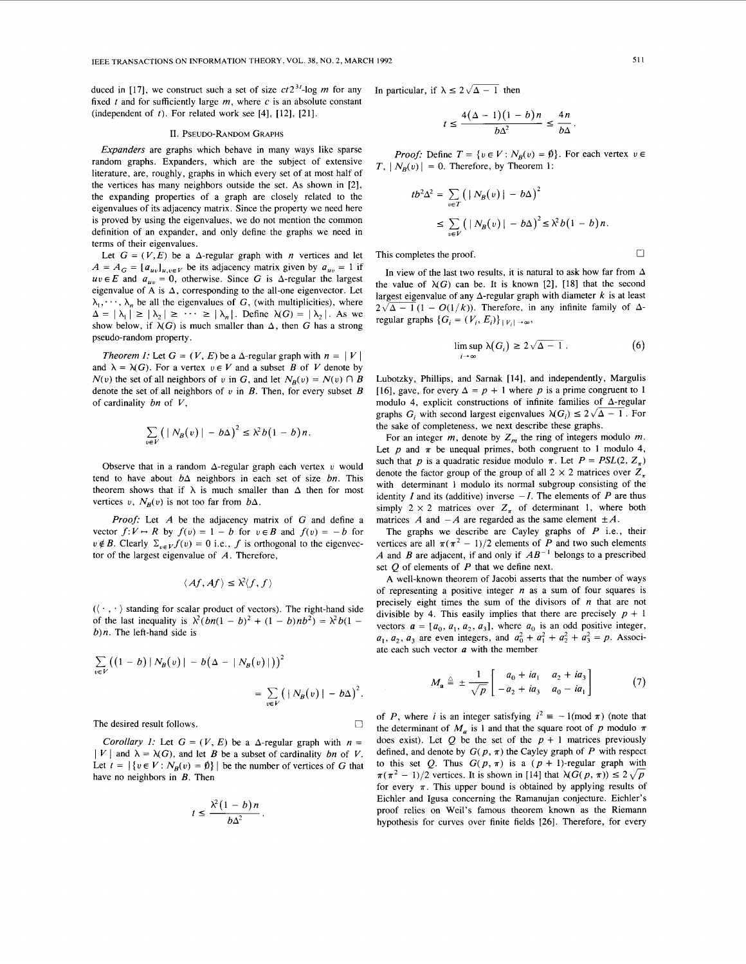duced in [17], we construct such a set of size  $ct2^{3t}$ -log *m* for any fixed *t* and for sufficiently large *m,* where *c* is an absolute constant (independent of  $t$ ). For related work see [4], [12], [21].

### 11. PSEUDO-RANDOM **GRAPHS**

*Expanders* are graphs which behave in many ways like sparse random graphs. Expanders, which are the subject of extensive literature, are, roughly, graphs in which every set of at most half of the vertices has many neighbors outside the set. As shown in [2], the expanding properties of a graph are closely related to the eigenvalues of its adjacency matrix. Since the property we need here is proved by using the eigenvalues, we do not mention the common definition of an expander, and only define the graphs we need in terms of their eigenvalues.

Let  $G = (V, E)$  be a  $\Delta$ -regular graph with *n* vertices and let  $A = A_G = [a_{uv}]_{u,v \in V}$  be its adjacency matrix given by  $a_{uv} = 1$  if  $uv \in E$  and  $a_{uv} = 0$ , otherwise. Since G is  $\Delta$ -regular the largest eigenvalue of A is  $\Delta$ , corresponding to the all-one eigenvector. Let  $\lambda_1, \dots, \lambda_n$  be all the eigenvalues of G, (with multiplicities), where  $\Delta = |\lambda_1| \ge |\lambda_2| \ge \cdots \ge |\lambda_n|$ . Define  $\lambda(G) = |\lambda_2|$ . As we show below, if  $\lambda(G)$  is much smaller than  $\Delta$ , then G has a strong pseudo-random property.

*Theorem 1:* Let  $G = (V, E)$  be a  $\Delta$ -regular graph with  $n = |V|$ and  $\lambda = \lambda(G)$ . For a vertex  $v \in V$  and a subset *B* of *V* denote by  $N(v)$  the set of all neighbors of *v* in G, and let  $N_B(v) = N(v) \cap B$ denote the set of all neighbors of  $v$  in  $B$ . Then, for every subset  $B$ of cardinality *bn* of *V,* 

$$
\sum_{v \in V} (|N_B(v)| - b\Delta)^2 \leq \lambda^2 b (1 - b) n.
$$

Observe that in a random  $\Delta$ -regular graph each vertex *v* would tend to have about bA neighbors in each set of size *bn.* This theorem shows that if  $\lambda$  is much smaller than  $\Delta$  then for most vertices *v*,  $N_B(v)$  is not too far from  $b\Delta$ .

*Proof:* Let *A* be the adjacency matrix of G and define a vector  $f: V \to R$  by  $f(v) = 1 - b$  for  $v \in B$  and  $f(v) = -b$  for  $v \notin B$ . Clearly  $\Sigma_{v \in V} f(v) = 0$  i.e., *f* is orthogonal to the eigenvector of the largest eigenvalue of *A.* Therefore,

$$
\langle Af, Af \rangle \leq \lambda^2 \langle f, f \rangle
$$

 $({\langle \cdot , \cdot \rangle})$  standing for scalar product of vectors). The right-hand side of the last inequality is  $\lambda^2(bn(1-b)^2 + (1-b)nb^2) = \lambda^2b(1-b)$ *b)n.* The left-hand side is

$$
\sum_{v \in V} ((1 - b) | N_B(v) | - b(\Delta - |N_B(v)|))^2
$$
  
= 
$$
\sum_{v \in V} (|N_B(v) | - b\Delta)^2
$$

The desired result follows.

*Corollary 1:* Let  $G = (V, E)$  be a  $\Delta$ -regular graph with  $n =$  $|V|$  and  $\lambda = \lambda(G)$ , and let *B* be a subset of cardinality *bn* of *V*. Let  $t = |\{v \in V : N_B(v) = \emptyset\}|$  be the number of vertices of G that have no neighbors in *B.* Then

$$
t \le \frac{\lambda^2 (1-b)n}{b\Delta^2}
$$

In particular, if  $\lambda \leq 2\sqrt{\Delta - 1}$  then

$$
t \le \frac{4(\Delta - 1)(1 - b)n}{b\Delta^2} \le \frac{4n}{b\Delta}.
$$

*Proof:* Define  $T = \{v \in V : N_R(v) = \emptyset\}$ . For each vertex  $v \in$  $T$ ,  $|N_p(v)| = 0$ . Therefore, by Theorem 1:

$$
tb^{2} \Delta^{2} = \sum_{v \in T} (|N_{B}(v)| - b\Delta)^{2}
$$
  
 
$$
\leq \sum_{v \in V} (|N_{B}(v)| - b\Delta)^{2} \leq \lambda^{2} b(1 - b) n.
$$

This completes the proof.  $\Box$ 

In view of the last two results, it is natural to ask how far from  $\Delta$ the value of  $\lambda(G)$  can be. It is known [2], [18] that the second largest eigenvalue of any  $\Delta$ -regular graph with diameter  $k$  is at least  $2\sqrt{\Delta - 1}(1 - O(1/k))$ . Therefore, in any infinite family of  $\Delta$ regular graphs  $\{G_i = (V_i, E_i)\}_{i \in [V_i] \to \infty}$ ,

$$
\limsup_{i \to \infty} \lambda(G_i) \ge 2\sqrt{\Delta - 1} \,. \tag{6}
$$

Lubotzky, Phillips, and Sarnak [14], and independently, Margulis [16], gave, for every  $\Delta = p + 1$  where p is a prime congruent to 1 modulo 4, explicit constructions of infinite families of  $\Delta$ -regular graphs  $G_i$  with second largest eigenvalues  $\lambda(G_i) \leq 2\sqrt{\Delta - 1}$ . For the sake of completeness, we next describe these graphs.

For an integer  $m$ , denote by  $Z_m$  the ring of integers modulo  $m$ . Let  $p$  and  $\pi$  be unequal primes, both congruent to 1 modulo 4, such that *p* is a quadratic residue modulo  $\pi$ . Let  $P = PSL(2, Z<sub>+</sub>)$ denote the factor group of the group of all  $2 \times 2$  matrices over  $Z_{\pi}$ with determinant 1 modulo its normal subgroup consisting of the identity I and its (additive) inverse  $-I$ . The elements of P are thus simply  $2 \times 2$  matrices over  $Z_{\pi}$  of determinant 1, where both matrices *A* and  $-A$  are regarded as the same element  $\pm A$ .

The graphs we describe are Cayley graphs of *P* i.e., their vertices are all  $\pi(\pi^2 - 1)/2$  elements of P and two such elements *A* and *B* are adjacent, if and only if  $AB^{-1}$  belongs to a prescribed set Q of elements of *P* that we define next.

A well-known theorem of Jacobi asserts that the number of ways of representing a positive integer *n* as a sum of four squares is precisely eight times the sum of the divisors of *n* that are not divisible by 4. This easily implies that there are precisely  $p + 1$ vectors  $\mathbf{a} = [a_0, a_1, a_2, a_3]$ , where  $a_0$  is an odd positive integer,  $a_1, a_2, a_3$  are even integers, and  $a_0^2 + a_1^2 + a_2^2 + a_3^2 = p$ . Associate each such vector *a* with the member

$$
M_{\bf a} \triangleq \pm \frac{1}{\sqrt{p}} \begin{bmatrix} a_0 + ia_1 & a_2 + ia_3 \\ -a_2 + ia_3 & a_0 - ia_1 \end{bmatrix}
$$
 (7)

of *P*, where *i* is an integer satisfying  $i^2 \equiv -1 \pmod{\pi}$  (note that the determinant of  $M_a$  is 1 and that the square root of p modulo  $\pi$ does exist). Let  $Q$  be the set of the  $p + 1$  matrices previously defined, and denote by  $G(p, \pi)$  the Cayley graph of *P* with respect to this set *Q*. Thus  $G(p, \pi)$  is a  $(p + 1)$ -regular graph with  $\pi(\pi^2 - 1)/2$  vertices. It is shown in [14] that  $\lambda(G(p, \pi)) \leq 2\sqrt{p}$ for every  $\pi$ . This upper bound is obtained by applying results of Eichler and Igusa concerning the Ramanujan conjecture. Eichler's proof relies on Weil's famous theorem known as the Riemann hypothesis for curves over finite fields **1261.** Therefore, for every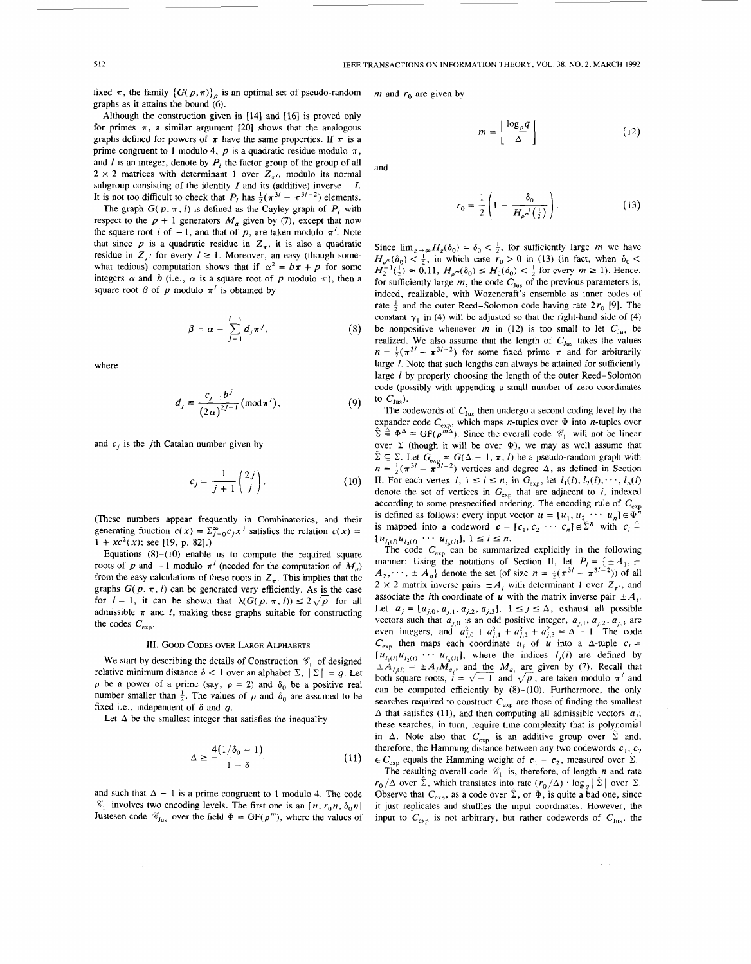fixed  $\pi$ , the family  $\{G(p, \pi)\}_p$  is an optimal set of pseudo-random graphs as it attains the bound **(6).** 

Although the construction given in [14] and [16] is proved only for primes  $\pi$ , a similar argument [20] shows that the analogous graphs defined for powers of  $\pi$  have the same properties. If  $\pi$  is a prime congruent to 1 modulo 4,  $p$  is a quadratic residue modulo  $\pi$ , and *l* is an integer, denote by  $P_l$  the factor group of the group of all  $2 \times 2$  matrices with determinant 1 over  $Z_{\pi}$ , modulo its normal subgroup consisting of the identity  $I$  and its (additive) inverse  $-I$ . It is not too difficult to check that  $P_l$  has  $\frac{1}{2}(\pi^{3l} - \pi^{3l-2})$  elements.

The graph  $G(p, \pi, l)$  is defined as the Cayley graph of  $P_i$  with respect to the  $p + 1$  generators  $M_a$  given by (7), except that now the square root *i* of  $-1$ , and that of *p*, are taken modulo  $\pi^{l}$ . Note that since  $p$  is a quadratic residue in  $Z<sub>\pi</sub>$ , it is also a quadratic residue in  $Z_{\pi}$  for every  $l \ge 1$ . Moreover, an easy (though somewhat tedious) computation shows that if  $\alpha^2 = b\pi + p$  for some integers  $\alpha$  and *b* (i.e.,  $\alpha$  is a square root of *p* modulo  $\pi$ ), then a square root  $\beta$  of *p* modulo  $\pi^l$  is obtained by

$$
\beta = \alpha - \sum_{j=1}^{l-1} d_j \pi^j, \qquad (8)
$$

where

$$
d_j \equiv \frac{c_{j-1}b^j}{(2\alpha)^{2j-1}} \, (\text{mod } \pi^i) \,, \tag{9}
$$

and  $c_j$  is the *j*th Catalan number given by

$$
c_j = \frac{1}{j+1} \binom{2j}{j}.
$$
 (10)

(These numbers appear frequently in Combinatorics, and their generating function  $c(x) = \sum_{j=0}^{\infty} c_j x^j$  satisfies the relation  $c(x) =$  $1 + xc^2(x)$ ; see [19, p. 82].)

Equations  $(8)-(10)$  enable us to compute the required square roots of *p* and  $-1$  modulo  $\pi^{l}$  (needed for the computation of  $M_{a}$ ) from the easy calculations of these roots in  $Z_{\pi}$ . This implies that the graphs  $G(p, \pi, l)$  can be generated very efficiently. As is the case for  $I = 1$ , it can be shown that  $\lambda(G(p, \pi, I)) \leq 2\sqrt{p}$  for all admissible  $\pi$  and *I*, making these graphs suitable for constructing the codes  $C_{\text{exp}}$ .

# III. GOOD CODES OVER LARGE ALPHABETS

We start by describing the details of Construction  $\mathscr{C}_1$  of designed relative minimum distance  $\delta$  < 1 over an alphabet  $\Sigma$ ,  $|\Sigma| = q$ . Let  $\rho$  be a power of a prime (say,  $\rho = 2$ ) and  $\delta_0$  be a positive real number smaller than  $\frac{1}{2}$ . The values of  $\rho$  and  $\delta_0$  are assumed to be fixed i.e., independent of  $\delta$  and  $q$ .

Let  $\Delta$  be the smallest integer that satisfies the inequality

$$
\Delta \ge \frac{4(1/\delta_0 - 1)}{1 - \delta} \tag{11}
$$

and such that  $\Delta - 1$  is a prime congruent to 1 modulo 4. The code  $\mathscr{C}_1$  involves two encoding levels. The first one is an  $[n, r_0n, \delta_0n]$ Justesen code  $\mathcal{C}_{Jus}$  over the field  $\Phi = \text{GF}(\rho^m)$ , where the values of

*m* and  $r_0$  are given by

and

$$
m = \left\lfloor \frac{\log_{\rho} q}{\Delta} \right\rfloor \tag{12}
$$

$$
r_0 = \frac{1}{2} \left( 1 - \frac{\delta_0}{H_{\rho}^{-n}(\frac{1}{2})} \right).
$$
 (13)

Since  $\lim_{z\to\infty}H_z(\delta_0) = \delta_0 < \frac{1}{2}$ , for sufficiently large *m* we have  $H_{\rho^m}(\delta_0) < \frac{1}{2}$ , in which case  $r_0 > 0$  in (13) (in fact, when  $\delta_0 <$ for sufficiently large  $m$ , the code  $C_{\text{fus}}$  of the previous parameters is, indeed, realizable, with Wozencrafi's ensemble as inner codes of rate  $\frac{1}{2}$  and the outer Reed-Solomon code having rate  $2r_0$  [9]. The constant  $\gamma_1$  in (4) will be adjusted so that the right-hand side of (4) be nonpositive whenever *m* in (12) is too small to let  $C_{\text{Jus}}$  be realized. We also assume that the length of  $C_{fus}$  takes the values  $n=\frac{1}{2}(\pi^{3/2}-\pi^{3/2})$  for some fixed prime  $\pi$  and for arbitrarily large *1*. Note that such lengths can always be attained for sufficiently large / by properly choosing the length of the outer Reed-Solomon code (possibly with appending a small number of zero coordinates Since  $\lim_{z \to \infty} H_z(\delta_0) = \delta_0 < \frac{1}{2}$ , for sufficiently large *m* we have  $H_{\rho^m}(\delta_0) < \frac{1}{2}$ , in which case  $r_0 > 0$  in (13) (in fact, when  $\delta_0 < H_z^{-1}(\frac{1}{2}) \approx 0.11$ ,  $H_{\rho^m}(\delta_0) \le H_2(\delta_0) < \frac{1}{2}$  for every  $m \ge$ to  $C_{\text{Jus}}$ ).

The codewords of  $C_{\text{Jus}}$  then undergo a second coding level by the expander code  $C_{\text{exp}}$ , which maps *n*-tuples over  $\Phi$  into *n*-tuples over  $\Phi^{\Delta} \cong \mathbb{G}F(\rho^{m\Delta})$ . Since the overall code  $\mathcal{C}_1$  will not be linear over  $\Sigma$  (though it will be over  $\Phi$ ), we may as well assume that by er  $\geq$  (though it will be over  $\Psi$ ), we may as well assume that  $\hat{\Sigma} \subseteq \Sigma$ . Let  $G_{\exp} = G(\Delta - 1, \pi, l)$  be a pseudo-random graph with  $\alpha \geq 2$ . Let  $G_{\text{exp}} = G(\Delta - 1, \pi, t)$  be a pseudo-random graph with  $n = \frac{1}{2}(\pi^{31} - \pi^{31-2})$  vertices and degree  $\Delta$ , as defined in Section II. For each vertex  $i, 1 \le i \le n$ , in  $G_{exp}$ , let  $l_1(i), l_2(i), \dots, l_{\Delta}(i)$ denote the set of vertices in **Gexp** that are adjacent to *i,* indexed according to some prespecified ordering. The encoding rule of  $C_{\text{exp}}$ is defined as follows: every input vector  $u = [u_1, u_2, \dots, u_n] \in \Phi^n$ is mapped into a codeword  $\mathbf{c} = [c_1, c_2 \cdots c_n] \in \mathbb{R}^n$  with  $c_i \triangleq$  $\{u_{i_1(i)}u_{i_2(i)} \cdots u_{i_\Delta(i)}\}$ ,  $1 \le i \le n$ .<br>The code  $C_{\text{exp}}$  can be summarized explicitly in the following

manner: Using the notations of Section II, let  $P_i = \{ \pm A_1, \pm A_2, \pm A_3, \pm A_4, \pm A_5, \pm A_6, \pm A_7, \pm A_8, \pm A_9, \pm A_9, \pm A_9, \pm A_9, \pm A_9, \pm A_9, \pm A_9, \pm A_9, \pm A_9, \pm A_9, \pm A_9, \pm A_9, \pm A_9, \pm A_9, \pm A_9, \pm A_9, \pm A_9, \pm A_9, \pm A_9, \pm A_9,$  $A_2, \dots, \pm A_n$  denote the set (of size  $n = \frac{1}{2}(\pi^{3l} - \pi^{3l-2})$ ) of all  $2 \times 2$  matrix inverse pairs  $\pm A_i$  with determinant 1 over  $Z_{\pi'}$ , and associate the *i*th coordinate of *u* with the matrix inverse pair  $\pm A_i$ . Let  $a_j = [a_{j,0}, a_{j,1}, a_{j,2}, a_{j,3}], 1 \le j \le \Delta$ , exhaust all possible vectors such that  $a_{j,0}$  is an odd positive integer,  $a_{j,1}, a_{j,2}, a_{j,3}$  are vectors such that  $a_{j,0}$  is an odd positive integer,  $a_{j,1}$ ,  $a_{j,2}$ ,  $a_{j,3}$  are<br>even integers, and  $a_{j,0}^2 + a_{j,1}^2 + a_{j,2}^2 + a_{j,3}^2 = \Delta - 1$ . The code  $C_{\text{exp}}$  then maps each coordinate  $u_i$  of  $u$  into a  $\Delta$ -tuple  $c_i$  =  $[u_{i_1(i)}u_{i_2(i)} \cdots u_{i_n(i)}]$ , where the indices  $i_j(i)$  are defined by  $\pm A_{l,(i)} = \pm A_i M_{a_i}$ , and the *M<sub>u<sub>i</sub>*</sub> are given by (7). Recall that both square roots,  $\vec{i} = \sqrt{-1}$  and  $\sqrt{p}$ , are taken modulo  $\pi^t$  and can be computed efficiently by  $(8)-(10)$ . Furthermore, the only searches required to construct  $C_{\text{exp}}$  are those of finding the smallest  $\Delta$  that satisfies (11), and then computing all admissible vectors  $a_i$ ; these searches, in turn, require time complexity that is polynomial in  $\Delta$ . Note also that  $C_{\exp}$  is an additive group over  $\hat{\Sigma}$  and, therefore, the Hamming distance between any two codewords  $c_1, c_2$  $\epsilon C_{\text{exp}}$  equals the Hamming weight of  $c_1 - c_2$ , measured over  $\Sigma$ .

The resulting overall code  $\mathcal{C}_1$  is, therefore, of length *n* and rate  $r_0/\Delta$  over  $\Sigma$ , which translates into rate  $(r_0/\Delta) \cdot \log_a |\Sigma|$  over  $\Sigma$ . Observe that  $C_{\text{exp}}$ , as a code over  $\hat{\Sigma}$ , or  $\Phi$ , is quite a bad one, since it just replicates and shuffles the input coordinates. However, the input to  $C_{\text{exp}}$  is not arbitrary, but rather codewords of  $C_{\text{Jus}}$ , the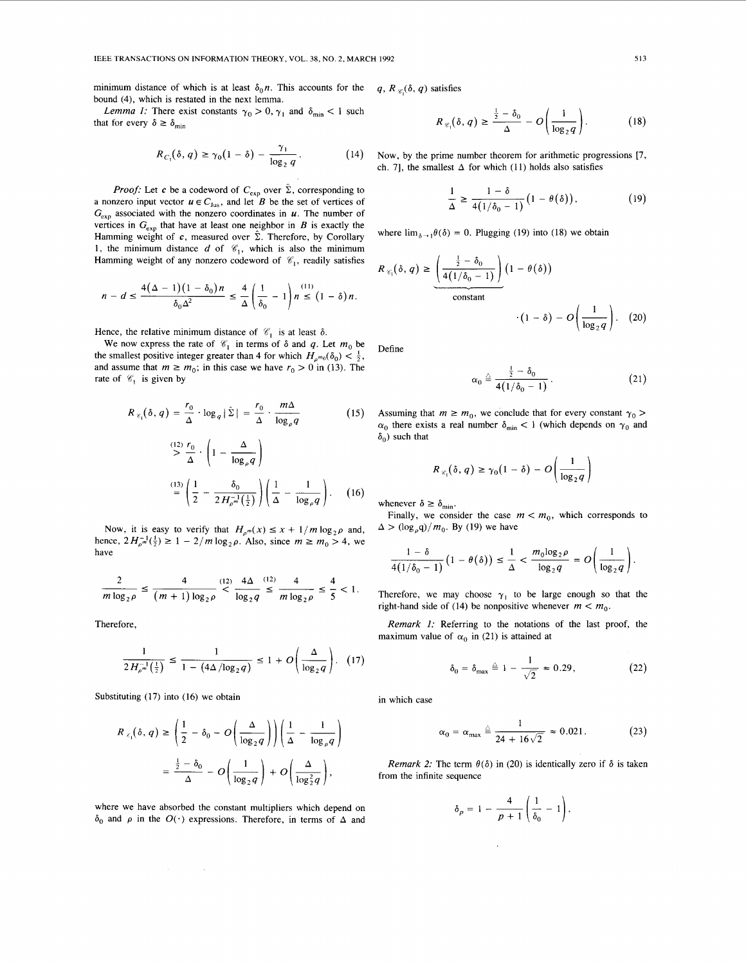<span id="page-4-0"></span>minimum distance of which is at least  $\delta_0 n$ . This accounts for the q,  $R_{\mathscr{C}_1}(\delta, q)$  satisfies bound (4), which is restated in the next lemma.

Lemma 1: There exist constants  $\gamma_0 > 0$ ,  $\gamma_1$  and  $\delta_{\min} < 1$  such that for every  $\delta \geq \delta_{\min}$ 

$$
R_{C_1}(\delta, q) \ge \gamma_0 \left(1 - \delta\right) - \frac{\gamma_1}{\log_2 q} \,. \tag{14}
$$

*Proof:* Let *c* be a codeword of  $C_{\text{exp}}$  over  $\hat{\Sigma}$ , corresponding to a nonzero input vector  $u \in C_{\text{Jus}}$ , and let *B* be the set of vertices of  $G_{\text{exp}}$  associated with the nonzero coordinates in  $\boldsymbol{u}$ . The number of vertices in  $G_{\text{exp}}$  that have at least one neighbor in *B* is exactly the Hamming weight of  $c$ , measured over  $\hat{\Sigma}$ . Therefore, by Corollary 1, the minimum distance  $d$  of  $\mathcal{C}_1$ , which is also the minimum Hamming weight of any nonzero codeword of  $\mathcal{C}_1$ , readily satisfies

$$
n - d \le \frac{4(\Delta - 1)(1 - \delta_0)n}{\delta_0 \Delta^2} \le \frac{4}{\Delta} \left( \frac{1}{\delta_0} - 1 \right) n \le (1 - \delta)n.
$$

Hence, the relative minimum distance of  $\mathcal{C}_1$  is at least  $\delta$ .

We now express the rate of  $\mathcal{C}_1$  in terms of  $\delta$  and  $q$ . Let  $m_0$  be the smallest positive integer greater than 4 for which  $H_{\rho^{m_0}}(\delta_0) < \frac{1}{2}$ , and assume that  $m \ge m_0$ ; in this case we have  $r_0 > 0$  in (13). The rate of  $\mathscr{C}_1$  is given by

$$
R_{\epsilon_1}(\delta, q) = \frac{r_0}{\Delta} \cdot \log_q |\hat{\Sigma}| = \frac{r_0}{\Delta} \cdot \frac{m\Delta}{\log_{\rho} q}
$$
(15)  

$$
\sum_{\Delta}^{(12)} \frac{r_0}{\Delta} \cdot \left(1 - \frac{\Delta}{\log_{\rho} q}\right)
$$
  

$$
\sum_{\Delta}^{(13)} \left(\frac{1}{2} - \frac{\delta_0}{2H_{\rho}^{-1}(\frac{1}{2})}\right) \left(\frac{1}{\Delta} - \frac{1}{\log_{\rho} q}\right).
$$
(16)

Now, it is easy to verify that  $H_{\rho^m}(x) \leq x + 1/m \log_2 \rho$  and, hence,  $2H_{\rho m}^{-1}(\frac{1}{2}) \ge 1 - 2/m \log_2 \rho$ . Also, since  $m \ge m_0 > 4$ , we have

$$
\frac{2}{m \log_2 \rho} \le \frac{4}{(m+1) \log_2 \rho} \cdot \frac{(12)}{\log_2 q} \cdot \frac{4\Delta}{2} \cdot \frac{(12)}{m \log_2 \rho} \cdot \frac{4}{5} < 1.
$$

Therefore,

$$
rac{1}{2H_{\rho}^{-1}(\frac{1}{2})} ≤ \frac{1}{1 - (4\Delta/\log_2 q)} ≤ 1 + O\left(\frac{\Delta}{\log_2 q}\right).
$$
 (17)

Substituting  $(17)$  into  $(16)$  we obtain in which case

$$
2H_{\rho^{-n}}\left(\frac{1}{2}\right) \quad 1 - (4\Delta/\log_2 q) \qquad \qquad \log_2 q
$$
\nitivity of the following (17) into (16) we obtain

\n
$$
R_{\ell_1}(\delta, q) \ge \left(\frac{1}{2} - \delta_0 - O\left(\frac{\Delta}{\log_2 q}\right)\right) \left(\frac{1}{\Delta} - \frac{1}{\log_\rho q}\right)
$$
\n
$$
= \frac{\frac{1}{2} - \delta_0}{\Delta} - O\left(\frac{1}{\log_2 q}\right) + O\left(\frac{\Delta}{\log_2^2 q}\right),
$$

where we have absorbed the constant multipliers which depend on  $\delta_0$  and  $\rho$  in the  $O(\cdot)$  expressions. Therefore, in terms of  $\Delta$  and

$$
R_{\mathscr{C}_1}(\delta, q) \ge \frac{\frac{1}{2} - \delta_0}{\Delta} - O\left(\frac{1}{\log_2 q}\right). \tag{18}
$$

Now, by the prime number theorem for arithmetic progressions [7, ch. 7], the smallest  $\Delta$  for which (11) holds also satisfies

$$
\frac{1}{\Delta} \ge \frac{1-\delta}{4(1/\delta_0-1)} \big(1-\theta(\delta)\big),\tag{19}
$$

where  $\lim_{\delta \to 1} \theta(\delta) = 0$ . Plugging (19) into (18) we obtain

$$
R_{\mathscr{C}_1}(\delta, q) \ge \frac{\left(\frac{\frac{1}{2} - \delta_0}{4(1/\delta_0 - 1)}\right) (1 - \theta(\delta))}{\text{constant}}
$$

$$
\cdot (1 - \delta) - O\left(\frac{1}{\log_2 q}\right). \quad (20)
$$

Define

$$
\alpha_0 \stackrel{\triangle}{=} \frac{\frac{1}{2} - \delta_0}{4(1/\delta_0 - 1)} \,. \tag{21}
$$

Assuming that  $m \ge m_0$ , we conclude that for every constant  $\gamma_0$  >  $\alpha_0$  there exists a real number  $\delta_{\min}$  < 1 (which depends on  $\gamma_0$  and  $\delta_0$ ) such that

$$
R_{\mathscr{C}_1}(\delta, q) \ge \gamma_0 (1 - \delta) - O\left(\frac{1}{\log_2 q}\right)
$$

whenever  $\delta \geq \delta_{\min}$ .

 $\Delta > (\log_{\rho} q)/m_0$ . By (19) we have Finally, we consider the case  $m < m_0$ , which corresponds to

$$
\frac{1-\delta}{4(1/\delta_0-1)}\left(1-\theta(\delta)\right) \leq \frac{1}{\Delta} < \frac{m_0\log_2\rho}{\log_2q} = O\left(\frac{1}{\log_2q}\right).
$$

Therefore, we may choose  $\gamma_1$  to be large enough so that the right-hand side of (14) be nonpositive whenever  $m < m_0$ .

Remark 1: Referring to the notations of the last proof, the aximum value of  $\alpha_0$  in (21) is attained at  $\delta_0 = \delta_{\text{max}} \triangleq 1 - \frac{1}{\sqrt{2}} \approx 0.29$ , (22) maximum value of  $\alpha_0$  in (21) is attained at

$$
\delta_0 = \delta_{\max} \triangleq 1 - \frac{1}{\sqrt{2}} \approx 0.29, \qquad (22)
$$

$$
-\frac{1}{\log_{\rho} q}\bigg) \qquad \qquad \alpha_0 = \alpha_{\max} \triangleq \frac{1}{24 + 16\sqrt{2}} \approx 0.021. \qquad (23)
$$

*Remark 2:* The term  $\theta(\delta)$  in (20) is identically zero if  $\delta$  is taken from the infinite sequence

$$
\delta_p = 1 - \frac{4}{p+1} \left( \frac{1}{\delta_0} - 1 \right),
$$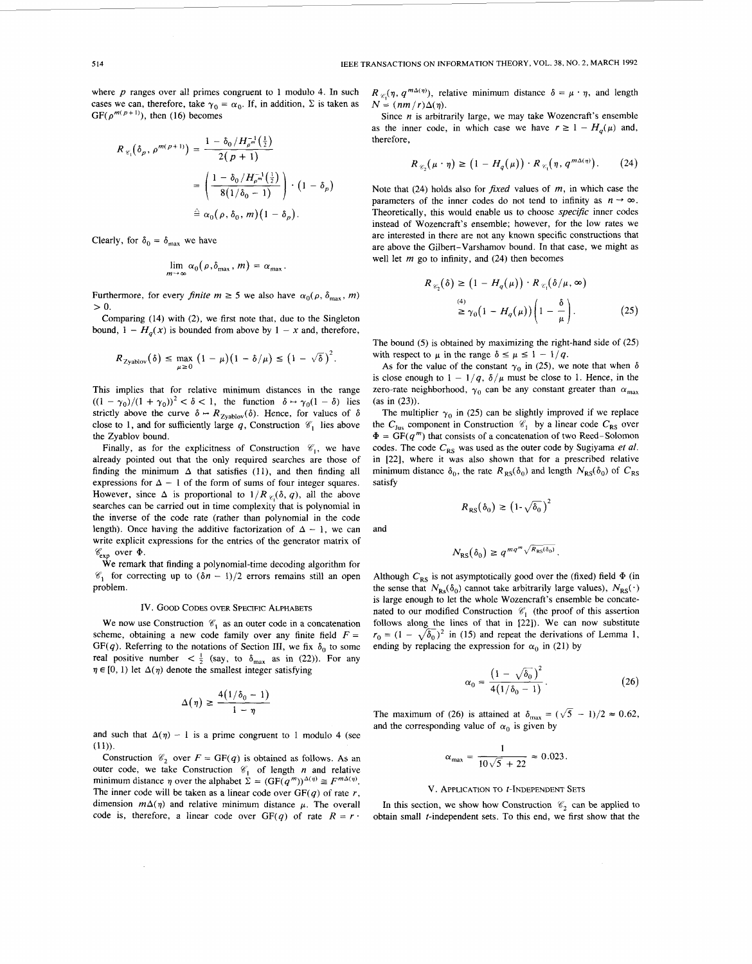where *p* ranges over all primes congruent to 1 modulo 4. In such cases we can, therefore, take  $\gamma_0 = \alpha_0$ . If, in addition,  $\Sigma$  is taken as  $GF(\rho^{m(p+1)})$ , then (16) becomes

$$
R_{\mathcal{C}_1}(\delta_p, \rho^{m(p+1)}) = \frac{1 - \delta_0 / H_{\rho^m}^{-1}(\frac{1}{2})}{2(p+1)}
$$
  
= 
$$
\left(\frac{1 - \delta_0 / H_{\rho^m}^{-1}(\frac{1}{2})}{8(1/\delta_0 - 1)}\right) \cdot (1 - \delta_p)
$$
  

$$
\stackrel{\triangle}{=} \alpha_0(\rho, \delta_0, m)(1 - \delta_p).
$$

Clearly, for  $\delta_0 = \delta_{\text{max}}$  we have

$$
\lim_{m\to\infty}\alpha_0(\rho,\delta_{\max},m)=\alpha_{\max}.
$$

Furthermore, for every *finite*  $m \ge 5$  we also have  $\alpha_0(\rho, \delta_{\text{max}}, m)$  $> 0$ .

Comparing **(14)** with **(2),** we first note that, due to the Singleton bound,  $1 - H_a(x)$  is bounded from above by  $1 - x$  and, therefore,

$$
R_{\text{Zyablov}}(\delta) \leq \max_{\mu \geq 0} \left(1 - \mu\right) \left(1 - \delta/\mu\right) \leq \left(1 - \sqrt{\delta}\right)^2.
$$

This implies that for relative minimum distances in the range  $((1 - \gamma_0)/(1 + \gamma_0))^2 < \delta < 1$ , the function  $\delta \mapsto \gamma_0(1 - \delta)$  lies strictly above the curve  $\delta \mapsto R_{\text{Zyablov}}(\delta)$ . Hence, for values of  $\delta$ close to 1, and for sufficiently large  $q$ , Construction  $\mathcal{C}_1$  lies above the Zyablov bound.

Finally, as for the explicitness of Construction  $\mathcal{C}_1$ , we have already pointed out that the only required searches are those of finding the minimum  $\Delta$  that satisfies (11), and then finding all expressions for  $\Delta - 1$  of the form of sums of four integer squares. However, since  $\Delta$  is proportional to  $1/R_{\mathcal{C}}(\delta, q)$ , all the above searches can be carried out in time complexity that is polynomial in the inverse of the code rate (rather than polynomial in the code length). Once having the additive factorization of  $\Delta - 1$ , we can write explicit expressions for the entries of the generator matrix of  $\mathscr{C}_{\text{exp}}$  over  $\Phi$ .

We remark that finding a polynomial-time decoding algorithm for  $\mathcal{C}_1$  for correcting up to  $(\delta n - 1)/2$  errors remains still an open problem.

# Iv. GOOD CODES OVER **SPECIFIC ALPHABETS**

We now use Construction  $\mathcal{C}_1$  as an outer code in a concatenation scheme, obtaining a new code family over any finite field  $F =$ GF(q). Referring to the notations of Section III, we fix  $\delta_0$  to some real positive number  $\langle \frac{1}{2} \rangle$  (say, to  $\delta_{\text{max}}$  as in (22)). For any  $\eta \in [0, 1)$  let  $\Delta(\eta)$  denote the smallest integer satisfying

$$
\Delta(\eta) \geq \frac{4(1/\delta_0 - 1)}{1 - \eta}
$$

and such that  $\Delta(\eta) - 1$  is a prime congruent to 1 modulo 4 (see **(1** 1)).

Construction  $\mathcal{C}_2$  over  $F = GF(q)$  is obtained as follows. As an outer code, we take Construction  $\mathcal{C}_1$  of length *n* and relative minimum distance  $\eta$  over the alphabet  $\Sigma = (GF(q^m))^{\Delta(\eta)} \cong F^{m\Delta(\eta)}$ . The inner code will be taken as a linear code over  $GF(q)$  of rate  $r$ , dimension  $m\Delta(\eta)$  and relative minimum distance  $\mu$ . The overall code is, therefore, a linear code over  $GF(q)$  of rate  $R = r$ .  $R_{\varphi}(\eta, q^{m\Delta(\eta)})$ , relative minimum distance  $\delta = \mu \cdot \eta$ , and length  $N = (nm/r)\Delta(\eta)$ .

Since *n* is arbitrarily large, we may take Wozencraft's ensemble as the inner code, in which case we have  $r \ge 1 - H_q(\mu)$  and, therefore,

$$
R_{\mathscr{C}_2}(\mu \cdot \eta) \ge (1 - H_q(\mu)) \cdot R_{\mathscr{C}_1}(\eta, q^{m\Delta(\eta)}). \tag{24}
$$

Note that (24) holds also for fixed values of *m,* in which case the parameters of the inner codes do not tend to infinity as  $n \to \infty$ . Theoretically, this would enable us to choose specific inner codes instead of Wozencraft's ensemble; however, for the low rates we are interested in there are not any known specific constructions that are above the Gilbert-Varshamov bound. In that case, we might as well let *m* go to infinity, and **(24)** then becomes

$$
R_{\mathscr{C}_2}(\delta) \ge (1 - H_q(\mu)) \cdot R_{\mathscr{C}_1}(\delta/\mu, \infty)
$$
  
\n
$$
\stackrel{(4)}{\ge} \gamma_0 \big(1 - H_q(\mu)\big) \bigg(1 - \frac{\delta}{\mu}\bigg). \tag{25}
$$

The bound (5) is obtained by maximizing the right-hand side of **(25)**  with respect to  $\mu$  in the range  $\delta \leq \mu \leq 1 - 1/q$ .

As for the value of the constant  $\gamma_0$  in (25), we note that when  $\delta$ is close enough to  $1 - 1/q$ ,  $\delta/\mu$  must be close to 1. Hence, in the zero-rate neighborhood,  $\gamma_0$  can be any constant greater than  $\alpha_{\text{max}}$ (as in **(23)).** 

The multiplier  $\gamma_0$  in (25) can be slightly improved if we replace the  $C_{\text{Jus}}$  component in Construction  $\mathcal{C}_1$  by a linear code  $C_{\text{RS}}$  over  $\Phi = \overline{\text{GF}}(q^m)$  that consists of a concatenation of two Reed-Solomon codes. The code  $C_{RS}$  was used as the outer code by Sugiyama et al. in **[22],** where it was also shown that for a prescribed relative minimum distance  $\delta_0$ , the rate  $R_{RS}(\delta_0)$  and length  $N_{RS}(\delta_0)$  of  $C_{RS}$ satisfy

$$
R_{RS}(\delta_0) \ge (1 - \sqrt{\delta_0})^2
$$

and

$$
N_{\rm RS}(\delta_0) \geq q^{mq^m \sqrt{R_{\rm RS}(\delta_0)}}.
$$

Although  $C_{RS}$  is not asymptotically good over the (fixed) field  $\Phi$  (in the sense that  $N_{\text{Rs}}(\delta_0)$  cannot take arbitrarily large values),  $N_{\text{RS}}(\cdot)$ is large enough to let the whole Wozencraft's ensemble be concatenated to our modified Construction  $\mathcal{C}_1$  (the proof of this assertion follows along the lines of that in [22]). We can now substitute  $r_0 = (1 - \sqrt{\delta_0})^2$  in (15) and repeat the derivations of Lemma 1, ending by replacing the expression for  $\alpha_0$  in (21) by

$$
\alpha_0 = \frac{\left(1 - \sqrt{\delta_0}\right)^2}{4(1/\delta_0 - 1)}.
$$
 (26)

The maximum of (26) is attained at  $\delta_{\text{max}} = (\sqrt{5} - 1)/2 \approx 0.62$ , and the corresponding value of  $\alpha_0$  is given by

$$
\alpha_{\text{max}} = \frac{1}{10\sqrt{5} + 22} \approx 0.023.
$$

### **V. APPLICATION TO t-INDEPENDENT SETS**

In this section, we show how Construction  $\mathcal{C}_2$  can be applied to obtain small t-independent sets. To this end, we first show that the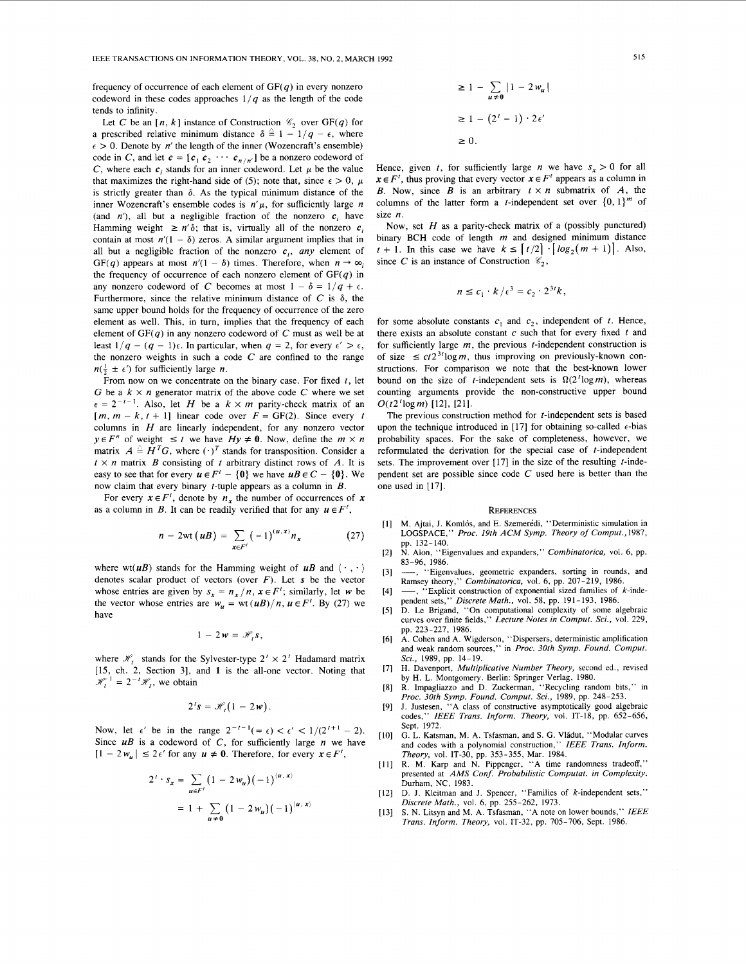frequency of occurrence of each element of  $GF(q)$  in every nonzero codeword in these codes approaches  $1/q$  as the length of the code tends to infinity.

Let *C* be an  $[n, k]$  instance of Construction  $\mathcal{C}_2$  over GF(q) for a prescribed relative minimum distance  $\delta \triangleq 1 - 1/q - \epsilon$ , where  $\epsilon > 0$ . Denote by *n'* the length of the inner (Wozencraft's ensemble) code in *C*, and let  $c = [c_1 c_2 \cdots c_{n/n}]$  be a nonzero codeword of *C*, where each  $c_i$  stands for an inner codeword. Let  $\mu$  be the value that maximizes the right-hand side of (5); note that, since  $\epsilon > 0$ ,  $\mu$ is strictly greater than  $\delta$ . As the typical minimum distance of the inner Wozencraft's ensemble codes is  $n'\mu$ , for sufficiently large *n* (and  $n'$ ), all but a negligible fraction of the nonzero  $c_i$  have Hamming weight  $\geq n' \delta$ ; that is, virtually all of the nonzero  $c_i$ contain at most  $n'(1 - \delta)$  zeros. A similar argument implies that in all but a negligible fraction of the nonzero  $c_i$ , *any* element of GF(q) appears at most  $n'(1 - \delta)$  times. Therefore, when  $n \to \infty$ the frequency of occurrence of each nonzero element of  $GF(q)$  in any nonzero codeword of *C* becomes at most  $1 - \delta = 1/q + \epsilon$ . Furthermore, since the relative minimum distance of  $C$  is  $\delta$ , the same upper bound holds for the frequency of occurrence of the zero element as well. This, in turn, implies that the frequency of each element of  $GF(q)$  in any nonzero codeword of  $C$  must as well be at least  $1/q - (q - 1)\epsilon$ . In particular, when  $q = 2$ , for every  $\epsilon' > \epsilon$ , the nonzero weights in such a code *C* are confined to the range  $n(\frac{1}{2} \pm \epsilon')$  for sufficiently large *n*.

From now on we concentrate on the binary case. For fixed  $t$ , let G be a  $k \times n$  generator matrix of the above code C where we set  $\epsilon = 2^{-t-1}$ . Also, let *H* be a  $k \times m$  parity-check matrix of an  $[m, m - k, t + 1]$  linear code over  $F = GF(2)$ . Since every t columns in *H* are linearly independent, for any nonzero vector  $x \in F^n$  of weight  $\leq t$  we have  $Hy \neq 0$ . Now, define the  $m \times n$ matrix  $A \triangleq H^T G$ , where  $(\cdot)^T$  stands for transposition. Consider a  $t \times n$  matrix *B* consisting of t arbitrary distinct rows of *A*. It is easy to see that for every  $u \in F' - \{0\}$  we have  $uB \in C - \{0\}$ . We now claim that every binary  $t$ -tuple appears as a column in  $B$ .

For every  $x \in F<sup>t</sup>$ , denote by  $n<sub>r</sub>$ , the number of occurrences of x as a column in B. It can be readily verified that for any  $u \in F'$ ,

$$
n-2\mathrm{wt}(uB)=\sum_{x\in F'}(-1)^{(u,x)}n_x\qquad \qquad (27)
$$

where wt(*uB*) stands for the Hamming weight of *uB* and  $\langle \cdot, \cdot \rangle$ denotes scalar product of vectors (over  $F$ ). Let  $s$  be the vector whose entries are given by  $s_x = n_x/n$ ,  $x \in F<sup>t</sup>$ ; similarly, let *w* be the vector whose entries are  $w_u = \text{wt}(uB)/n$ ,  $u \in F^t$ . By (27) we have

$$
1-2w=\mathscr{H}_t s,
$$

where  $\mathcal{H}_t$  stands for the Sylvester-type  $2^t \times 2^t$  Hadamard matrix [15, ch. 2, Section 31, and **1** is the all-one vector. Noting that  $= 2^{-t} \mathcal{H}_t$ , we obtain

$$
2^t s = \mathcal{H}_t(1-2w).
$$

Now, let  $\epsilon'$  be in the range  $2^{-t-1}(=\epsilon) < \epsilon' < 1/(2^{t+1} - 2)$ . Since  $uB$  is a codeword of C, for sufficiently large  $n$  we have  $[1 - 2w_u] \leq 2\epsilon'$  for any  $u \neq 0$ . Therefore, for every  $x \in F'$ ,

$$
2' \cdot s_x = \sum_{u \in F'} (1 - 2 w_u) (-1)^{\langle u, x \rangle}
$$
  
= 1 +  $\sum_{u \neq 0} (1 - 2 w_u) (-1)^{\langle u, x \rangle}$ 

$$
\geq 1 - \sum_{u \neq 0} |1 - 2w_u|
$$
  

$$
\geq 1 - (2^t - 1) \cdot 2\epsilon'
$$
  

$$
\geq 0.
$$

Hence, given t, for sufficiently large *n* we have  $s_r > 0$  for all  $x \in F<sup>t</sup>$ , thus proving that every vector  $x \in F<sup>t</sup>$  appears as a column in B. Now, since B is an arbitrary  $t \times n$  submatrix of A, the columns of the latter form a *t*-independent set over  $\{0, 1\}^m$  of size *n.* 

Now, set *H* as a parity-check matrix of a (possibly punctured) binary BCH code of length *m* and designed minimum distance  $t + 1$ . In this case we have  $k \leq \lceil t/2 \rceil \cdot \lceil \log_2(m + 1) \rceil$ . Also, since *C* is an instance of Construction  $\mathcal{C}_2$ ,

$$
n \leq c_1 \cdot k / \epsilon^3 = c_2 \cdot 2^{3t} k,
$$

for some absolute constants  $c_1$  and  $c_2$ , independent of t. Hence, there exists an absolute constant c such that for every fixed *t* and for sufficiently large *m,* the previous t-independent construction is of size  $\le ct^2$ <sup>3t</sup>logm, thus improving on previously-known constructions. For comparison we note that the best-known lower bound on the size of t-independent sets is  $\Omega(2^{t} \log m)$ , whereas counting arguments provide the non-constructive upper bound  $O(t2^{t} \log m)$  [12], [21].

The previous construction method for  $t$ -independent sets is based upon the technique introduced in [17] for obtaining so-called  $\epsilon$ -bias probability spaces. For the sake of completeness, however, we reformulated the derivation for the special case of t-independent sets. The improvement over  $[17]$  in the size of the resulting t-independent set are possible since code *C* used here is better than the one used in [17].

#### **REFERENCES**

- [1] M. Ajtai, J. Komlós, and E. Szemerédi, "Deterministic simulation in LOGSPACE," *Proc. 19th ACM Symp. Theory of Comput.,* 1987, pp. 132-140.
- N. Alon, "Eigenvalues and expanders," *Combinatorica,* vol. 6, pp.  $[2]$ 83-96, 1986.
- $[3]$ "Eigenvalues, geometric expanders, sorting in rounds, and Ramsey theory," *Combinatorica,* vol. 6, pp. 207-219, 1986.
- $"$ Explicit construction of exponential sized families of  $k$ -inde- $[4]$ pendent sets," *Discrete Math.,* vol. 58, pp. 191-193, 1986.
- $[5]$ D. **Le** Brigand, "On computational complexity of some algebraic curves over finite fields," *Lecture Notes in Comput. Sei.,* vol. 229, pp. 223-227, 1986.
- **A.** Cohen and A. Wigderson, "Dispersers, deterministic amplification  $[6]$ and weak random sources," in *Proc. 30th Symp. Found. Comput. Sci.,* 1989, pp. 14-19.
- H. Davenport, *Multiplicative Number Theory,* second ed., revised  $[7]$ by H. L. Montgomery. Berlin: Springer Verlag, 1980.
- $[8]$ R. Impagliazzo and D. Zuckerman, "Recycling random bits," in *Proc. 30th Symp. Found. Comput. Sci.,* 1989, pp. 248-253.
- $[9]$ J. Justesen, **"A** class of constructive asymptotically good algebraic codes," *IEEE Trans. Inform. Theory,* vol. IT-18, pp. 652-656, Sept. 1972.
- G. L. Katsman, M. **A.** Tsfasman, and S. G. Vlidut, "Modular curves and codes with a polynomial construction," *IEEE Trans. Inform. Theory,* vol. IT-30, pp. 353-355, Mar. 1984.
- [11] R. M. Karp and N. Pippenger, "A time randomness tradeoff," presented at *AMS Conf. Probabilistic Computat. in Complexity.* Durham, NC, 1983.
- [12] D. J. Kleitman and J. Spencer, "Families of k-independent sets," *Discrete Math.,* vol. *6,* pp. 255-262, 1973.
- S. N. Litsyn and M. A. Tsfasman, "A note on lower bounds," *IEEE Trans. Inform. Theory,* vol. IT-32, pp. 705-706, Sept. 1986.